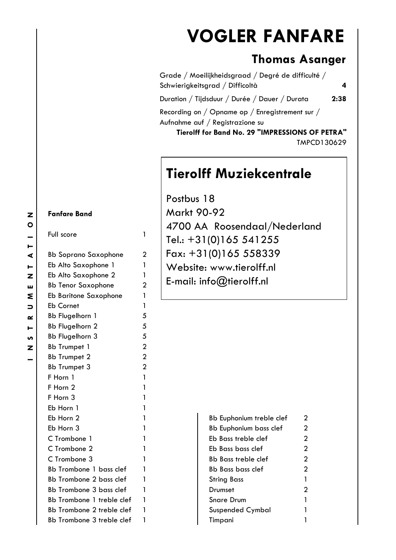## **VOGLER FANFARE**

### **Thomas Asanger**

Grade / Moeilijkheidsgraad / Degré de difficulté / Schwierigkeitsgrad / Difficoltà **4** Duration / Tijdsduur / Durée / Dauer / Durata **2:38** Recording on / Opname op / Enregistrement sur / Aufnahme auf / Registrazione su **Tierolff for Band No. 29 "IMPRESSIONS OF PETRA"**

#### TMPCD130629

## **Tierolff Muziekcentrale**

Postbus 18 Markt 90-92 4700 AA Roosendaal/Nederland Tel.: +31(0)165 541255 Fax: +31(0)165 558339 Website: www.tierolff.nl E-mail: info@tierolff.nl

| r Horn 3                  |                               |                |
|---------------------------|-------------------------------|----------------|
| Eb Horn 1                 |                               |                |
| Eb Horn 2                 | Bb Euphonium treble clef      | $\overline{2}$ |
| Eb Horn 3                 | <b>Bb Euphonium bass clef</b> | $\overline{2}$ |
| C Trombone 1              | Eb Bass treble clef           | $\overline{2}$ |
| C Trombone 2              | Eb Bass bass clef             | $\overline{2}$ |
| C Trombone 3              | <b>Bb Bass treble clef</b>    | $\overline{2}$ |
| Bb Trombone 1 bass clef   | <b>Bb Bass bass clef</b>      | $\overline{2}$ |
| Bb Trombone 2 bass clef   | <b>String Bass</b>            |                |
| Bb Trombone 3 bass clef   | Drumset                       | 2              |
| Bb Trombone 1 treble clef | <b>Snare Drum</b>             | 1              |
| Bb Trombone 2 treble clef | <b>Suspended Cymbal</b>       |                |
|                           |                               |                |

#### **Fanfare Band**

Full score and 1

| Bb Soprano Saxophone      | $\mathbf{2}$   | Fax: +31(0)165 558339         |                |
|---------------------------|----------------|-------------------------------|----------------|
| Eb Alto Saxophone 1       | 1              | Website: www.tierolff.nl      |                |
| Eb Alto Saxophone 2       | 1              |                               |                |
| <b>Bb Tenor Saxophone</b> | $\overline{2}$ | E-mail: $info@$ tierolff.nl   |                |
| Eb Baritone Saxophone     | 1              |                               |                |
| Eb Cornet                 | 1              |                               |                |
| Bb Flugelhorn 1           | 5              |                               |                |
| <b>Bb Flugelhorn 2</b>    | 5              |                               |                |
| <b>Bb Flugelhorn 3</b>    | 5              |                               |                |
| <b>Bb Trumpet 1</b>       | $\overline{2}$ |                               |                |
| <b>Bb Trumpet 2</b>       | $\overline{2}$ |                               |                |
| <b>Bb Trumpet 3</b>       | $\overline{2}$ |                               |                |
| F Horn 1                  | 1              |                               |                |
| F Horn 2                  |                |                               |                |
| F Horn 3                  |                |                               |                |
| Eb Horn 1                 |                |                               |                |
| Eb Horn 2                 |                | Bb Euphonium treble clef      | $\overline{2}$ |
| Eb Horn 3                 |                | <b>Bb Euphonium bass clef</b> | $\overline{2}$ |
| C Trombone 1              |                | Eb Bass treble clef           | $\overline{2}$ |
| C Trombone 2              |                | Eb Bass bass clef             | $\overline{2}$ |
| C Trombone 3              |                | <b>Bb Bass treble clef</b>    | $\overline{2}$ |
| Bb Trombone 1 bass clef   |                | <b>Bb Bass bass clef</b>      | $\overline{2}$ |
| Bb Trombone 2 bass clef   |                | <b>String Bass</b>            | 1              |
| Bb Trombone 3 bass clef   | 1              | Drumset                       | $\overline{2}$ |
| Bb Trombone 1 treble clef | 1              | <b>Snare Drum</b>             | 1              |
| Bb Trombone 2 treble clef | 1              | <b>Suspended Cymbal</b>       | 1              |
| Bb Trombone 3 treble clef | 1              | Timpani                       | 1              |

**I**

**N**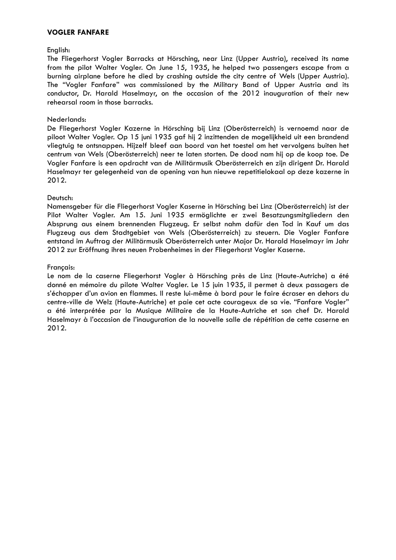#### **VOGLER FANFARE**

#### English:

The Fliegerhorst Vogler Barracks at Hörsching, near Linz (Upper Austria), received its name from the pilot Walter Vogler. On June 15, 1935, he helped two passengers escape from a burning airplane before he died by crashing outside the city centre of Wels (Upper Austria). The "Vogler Fanfare" was commissioned by the Military Band of Upper Austria and its conductor, Dr. Harald Haselmayr, on the occasion of the 2012 inauguration of their new rehearsal room in those barracks.

#### Nederlands:

De Fliegerhorst Vogler Kazerne in Hörsching bij Linz (Oberösterreich) is vernoemd naar de piloot Walter Vogler. Op 15 juni 1935 gaf hij 2 inzittenden de mogelijkheid uit een brandend vliegtuig te ontsnappen. Hijzelf bleef aan boord van het toestel om het vervolgens buiten het centrum van Wels (Oberösterreich) neer te laten storten. De dood nam hij op de koop toe. De Vogler Fanfare is een opdracht van de Militärmusik Oberösterreich en zijn dirigent Dr. Harald Haselmayr ter gelegenheid van de opening van hun nieuwe repetitielokaal op deze kazerne in 2012.

#### Deutsch:

Namensgeber für die Fliegerhorst Vogler Kaserne in Hörsching bei Linz (Oberösterreich) ist der Pilot Walter Vogler. Am 15. Juni 1935 ermöglichte er zwei Besatzungsmitgliedern den Absprung aus einem brennenden Flugzeug. Er selbst nahm dafür den Tod in Kauf um das Flugzeug aus dem Stadtgebiet von Wels (Oberösterreich) zu steuern. Die Vogler Fanfare entstand im Auftrag der Militärmusik Oberösterreich unter Major Dr. Harald Haselmayr im Jahr 2012 zur Eröffnung ihres neuen Probenheimes in der Fliegerhorst Vogler Kaserne.

#### Français:

Le nom de la caserne Fliegerhorst Vogler à Hörsching près de Linz (Haute-Autriche) a été donné en mémoire du pilote Walter Vogler. Le 15 juin 1935, il permet à deux passagers de s'échapper d'un avion en flammes. Il reste lui-même à bord pour le faire écraser en dehors du centre-ville de Welz (Haute-Autriche) et paie cet acte courageux de sa vie. "Fanfare Vogler" a été interprétée par la Musique Militaire de la Haute-Autriche et son chef Dr. Harald Haselmayr à l'occasion de l'inauguration de la nouvelle salle de répétition de cette caserne en 2012.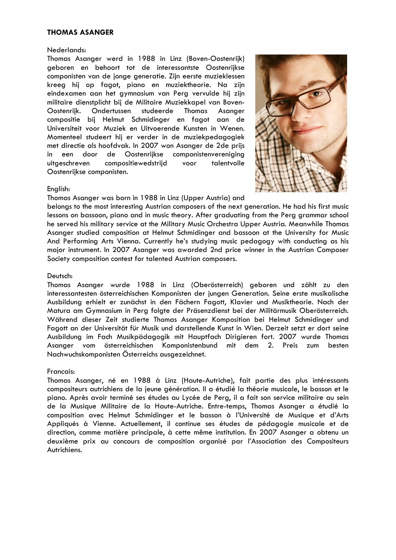#### **THOMAS ASANGER**

#### Nederlands:

Thomas Asanger werd in 1988 in Linz (Boven-Oostenrijk) geboren en behoort tot de interessantste Oostenrijkse componisten van de jonge generatie. Zijn eerste muzieklessen kreeg hij op fagot, piano en muziektheorie. Na zijn eindexamen aan het gymnasium van Perg vervulde hij zijn militaire dienstplicht bij de Militaire Muziekkapel van Boven-Oostenrijk. Ondertussen studeerde Thomas Asanger compositie bij Helmut Schmidinger en fagot aan de Universiteit voor Muziek en Uitvoerende Kunsten in Wenen. Momenteel studeert hij er verder in de muziekpedagogiek met directie als hoofdvak. In 2007 won Asanger de 2de prijs in een door de Oostenrijkse componistenvereniging uitgeschreven compositiewedstrijd voor talentvolle Oostenrijkse componisten.



#### English:

Thomas Asanger was born in 1988 in Linz (Upper Austria) and

belongs to the most interesting Austrian composers of the next generation. He had his first music lessons on bassoon, piano and in music theory. After graduating from the Perg grammar school he served his military service at the Military Music Orchestra Upper Austria. Meanwhile Thomas Asanger studied composition at Helmut Schmidinger and bassoon at the University for Music And Performing Arts Vienna. Currently he's studying music pedagogy with conducting as his major instrument. In 2007 Asanger was awarded 2nd price winner in the Austrian Composer Society composition contest for talented Austrian composers.

#### Deutsch:

Thomas Asanger wurde 1988 in Linz (Oberösterreich) geboren und zählt zu den interessantesten österreichischen Komponisten der jungen Generation. Seine erste musikalische Ausbildung erhielt er zunächst in den Fächern Fagott, Klavier und Musiktheorie. Nach der Matura am Gymnasium in Perg folgte der Präsenzdienst bei der Militärmusik Oberösterreich. Während dieser Zeit studierte Thomas Asanger Komposition bei Helmut Schmidinger und Fagott an der Universität für Musik und darstellende Kunst in Wien. Derzeit setzt er dort seine Ausbildung im Fach Musikpädagogik mit Hauptfach Dirigieren fort. 2007 wurde Thomas Asanger vom österreichischen Komponistenbund mit dem 2. Preis zum besten Nachwuchskomponisten Österreichs ausgezeichnet.

#### Francais:

Thomas Asanger, né en 1988 à Linz (Haute-Autriche), fait partie des plus intéressants compositeurs autrichiens de la jeune génération. Il a étudié la théorie musicale, le basson et le piano. Après avoir terminé ses études au Lycée de Perg, il a fait son service militaire au sein de la Musique Militaire de la Haute-Autriche. Entre-temps, Thomas Asanger a étudié la composition avec Helmut Schmidinger et le basson à l'Université de Musique et d'Arts Appliqués à Vienne. Actuellement, il continue ses études de pédagogie musicale et de direction, comme matière principale, à cette même institution. En 2007 Asanger a obtenu un deuxième prix au concours de composition organisé par l'Association des Compositeurs Autrichiens.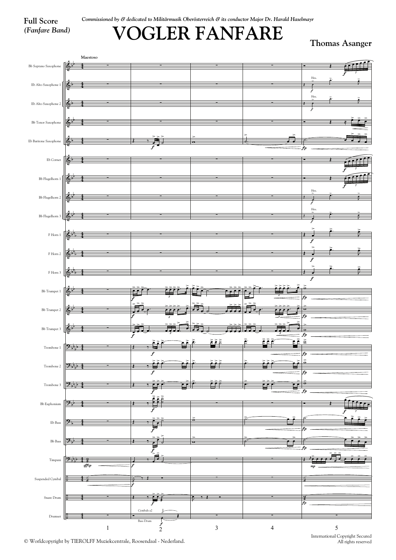# **VOGLER FANFARE Thomas Asanger**



 $\mathbf{1}$ ∑

∑

 $\frac{1}{2}$   $\frac{1}{2}$   $\frac{1}{2}$ 

 $\textcolor{black}{\widehat{\mathfrak{g}}}\hspace{0.1cm}$ 

→<br>∂ <del></del> ື ٌ ٌ ٌ ٌ ٌ

Cymbals a2 Bass Drum

P

f

f

œ > ˙ >

∑

∑

t.

 $_{mp}$ 

X æ

w æ

Í

كون صورة من  $\overline{a}$ > <sup>&</sup>gt; <sup>œ</sup> <sup>œ</sup>  $\geq$  $\geq$ >

∑

∑

 $\overline{4}$ ∑

∑

 $\overline{\mathbf{3}}$ ∑

 $\ddot{b}$   $\ddot{c}$   $\ddot{c}$ 

P

æ

 $\frac{f}{2}$ 

 $\overline{C^{C}}$  Cymbals a 2

f

 $2\,\mathfrak{p}$ 

 $\frac{4}{x}$ 

sffz

4 4 X æ

4 4

4 4

÷

Timpani

Suspended Cymbal

**Full Score** *(Fanfare Band)*

Snare Drum

Drum

÷

÷

∑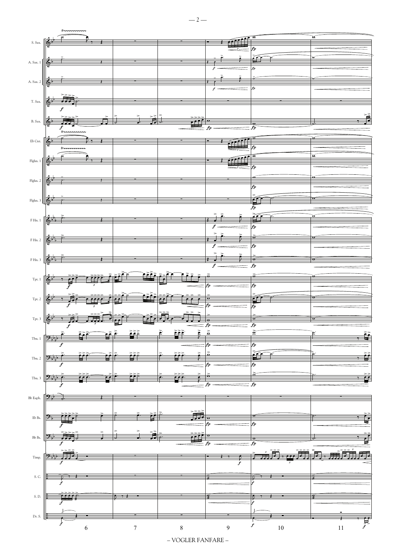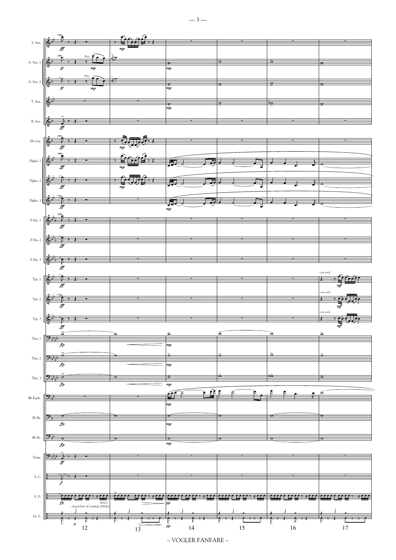

– VOGLER FANFARE –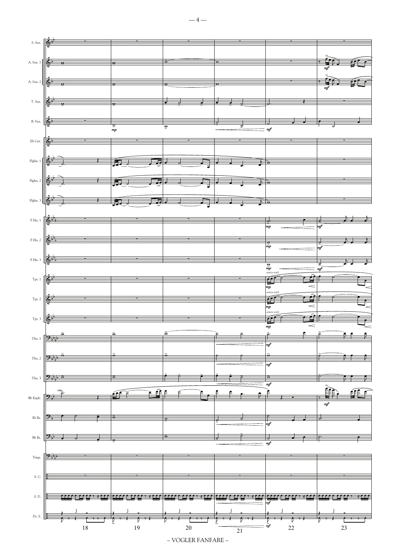

 $-4-$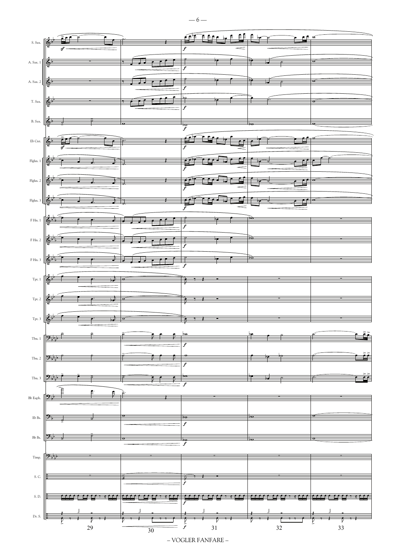

<sup>–</sup> VOGLER FANFARE –